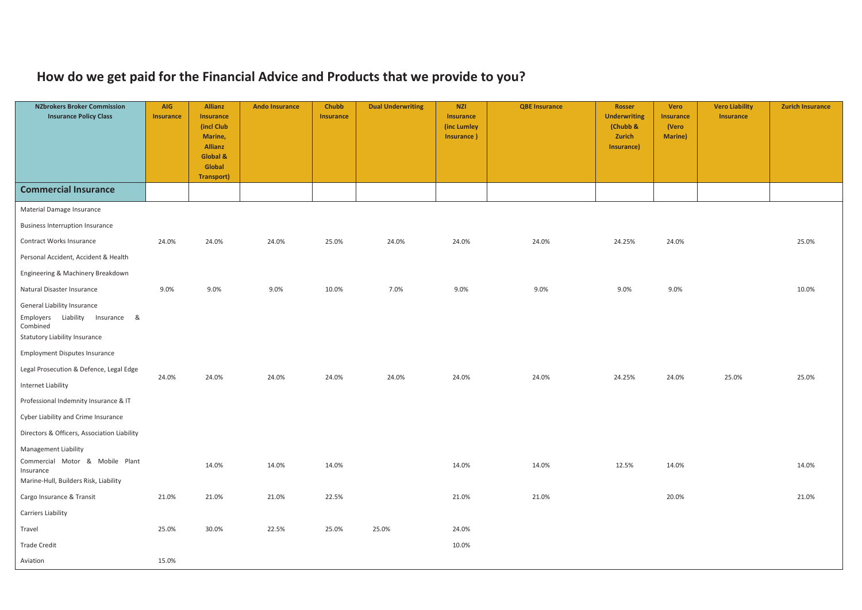## **How do we get paid for the Financial Advice and Products that we provide to you?**

| <b>NZbrokers Broker Commission</b><br><b>Insurance Policy Class</b>                                                   | AIG<br><b>Insurance</b> | <b>Allianz</b><br><b>Insurance</b><br>(incl Club<br>Marine,<br>Allianz<br>Global &<br>Global<br>Transport) | <b>Ando Insurance</b> | Chubb<br><b>Insurance</b> | <b>Dual Underwriting</b> | <b>NZI</b><br><b>Insurance</b><br>(inc Lumley<br>Insurance) | <b>QBE Insurance</b> | <b>Rosser</b><br><b>Underwriting</b><br>(Chubb &<br>Zurich<br>Insurance) | Vero<br><b>Insurance</b><br>(Vero<br><b>Marine</b> ) | <b>Vero Liability</b><br><b>Insurance</b> | <b>Zurich Insurance</b> |
|-----------------------------------------------------------------------------------------------------------------------|-------------------------|------------------------------------------------------------------------------------------------------------|-----------------------|---------------------------|--------------------------|-------------------------------------------------------------|----------------------|--------------------------------------------------------------------------|------------------------------------------------------|-------------------------------------------|-------------------------|
| <b>Commercial Insurance</b>                                                                                           |                         |                                                                                                            |                       |                           |                          |                                                             |                      |                                                                          |                                                      |                                           |                         |
| Material Damage Insurance                                                                                             |                         |                                                                                                            |                       |                           |                          |                                                             |                      |                                                                          |                                                      |                                           |                         |
| <b>Business Interruption Insurance</b>                                                                                |                         |                                                                                                            |                       |                           |                          |                                                             |                      |                                                                          |                                                      |                                           |                         |
| Contract Works Insurance                                                                                              | 24.0%                   | 24.0%                                                                                                      | 24.0%                 | 25.0%                     | 24.0%                    | 24.0%                                                       | 24.0%                | 24.25%                                                                   | 24.0%                                                |                                           | 25.0%                   |
| Personal Accident, Accident & Health                                                                                  |                         |                                                                                                            |                       |                           |                          |                                                             |                      |                                                                          |                                                      |                                           |                         |
| Engineering & Machinery Breakdown                                                                                     |                         |                                                                                                            |                       |                           |                          |                                                             |                      |                                                                          |                                                      |                                           |                         |
| Natural Disaster Insurance                                                                                            | 9.0%                    | 9.0%                                                                                                       | 9.0%                  | 10.0%                     | 7.0%                     | 9.0%                                                        | 9.0%                 | 9.0%                                                                     | 9.0%                                                 |                                           | 10.0%                   |
| General Liability Insurance<br>Employers<br>Liability Insurance &<br>Combined<br><b>Statutory Liability Insurance</b> |                         |                                                                                                            |                       |                           |                          |                                                             |                      |                                                                          |                                                      |                                           |                         |
| <b>Employment Disputes Insurance</b>                                                                                  |                         |                                                                                                            |                       |                           |                          |                                                             |                      |                                                                          |                                                      |                                           |                         |
| Legal Prosecution & Defence, Legal Edge                                                                               | 24.0%                   | 24.0%                                                                                                      | 24.0%                 | 24.0%                     | 24.0%                    | 24.0%                                                       | 24.0%                | 24.25%                                                                   | 24.0%                                                | 25.0%                                     | 25.0%                   |
| Internet Liability                                                                                                    |                         |                                                                                                            |                       |                           |                          |                                                             |                      |                                                                          |                                                      |                                           |                         |
| Professional Indemnity Insurance & IT                                                                                 |                         |                                                                                                            |                       |                           |                          |                                                             |                      |                                                                          |                                                      |                                           |                         |
| Cyber Liability and Crime Insurance                                                                                   |                         |                                                                                                            |                       |                           |                          |                                                             |                      |                                                                          |                                                      |                                           |                         |
| Directors & Officers, Association Liability                                                                           |                         |                                                                                                            |                       |                           |                          |                                                             |                      |                                                                          |                                                      |                                           |                         |
| Management Liability<br>Commercial Motor & Mobile Plant<br>Insurance<br>Marine-Hull, Builders Risk, Liability         |                         | 14.0%                                                                                                      | 14.0%                 | 14.0%                     |                          | 14.0%                                                       | 14.0%                | 12.5%                                                                    | 14.0%                                                |                                           | 14.0%                   |
| Cargo Insurance & Transit                                                                                             | 21.0%                   | 21.0%                                                                                                      | 21.0%                 | 22.5%                     |                          | 21.0%                                                       | 21.0%                |                                                                          | 20.0%                                                |                                           | 21.0%                   |
| Carriers Liability                                                                                                    |                         |                                                                                                            |                       |                           |                          |                                                             |                      |                                                                          |                                                      |                                           |                         |
| Travel                                                                                                                | 25.0%                   | 30.0%                                                                                                      | 22.5%                 | 25.0%                     | 25.0%                    | 24.0%                                                       |                      |                                                                          |                                                      |                                           |                         |
| <b>Trade Credit</b>                                                                                                   |                         |                                                                                                            |                       |                           |                          | 10.0%                                                       |                      |                                                                          |                                                      |                                           |                         |
| Aviation                                                                                                              | 15.0%                   |                                                                                                            |                       |                           |                          |                                                             |                      |                                                                          |                                                      |                                           |                         |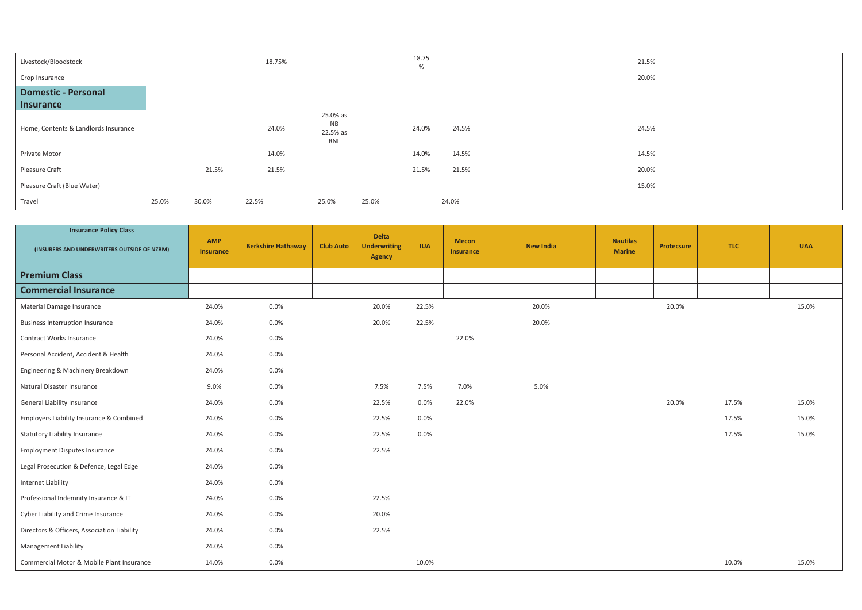| Livestock/Bloodstock                           |       |       | 18.75% |                                          |       | 18.75<br>% |       | 21.5% |
|------------------------------------------------|-------|-------|--------|------------------------------------------|-------|------------|-------|-------|
| Crop Insurance                                 |       |       |        |                                          |       |            |       | 20.0% |
| <b>Domestic - Personal</b><br><b>Insurance</b> |       |       |        |                                          |       |            |       |       |
| Home, Contents & Landlords Insurance           |       |       | 24.0%  | 25.0% as<br><b>NB</b><br>22.5% as<br>RNL |       | 24.0%      | 24.5% | 24.5% |
| Private Motor                                  |       |       | 14.0%  |                                          |       | 14.0%      | 14.5% | 14.5% |
| Pleasure Craft                                 |       | 21.5% | 21.5%  |                                          |       | 21.5%      | 21.5% | 20.0% |
| Pleasure Craft (Blue Water)                    |       |       |        |                                          |       |            |       | 15.0% |
| Travel                                         | 25.0% | 30.0% | 22.5%  | 25.0%                                    | 25.0% |            | 24.0% |       |

| <b>Insurance Policy Class</b><br>(INSURERS AND UNDERWRITERS OUTSIDE OF NZBM) | <b>AMP</b><br><b>Insurance</b> | <b>Berkshire Hathaway</b> | <b>Club Auto</b> | <b>Delta</b><br><b>Underwriting</b><br><b>Agency</b> | <b>IUA</b> | <b>Mecon</b><br><b>Insurance</b> | <b>New India</b> | <b>Nautilas</b><br><b>Marine</b> | <b>Protecsure</b> | <b>TLC</b> | <b>UAA</b> |
|------------------------------------------------------------------------------|--------------------------------|---------------------------|------------------|------------------------------------------------------|------------|----------------------------------|------------------|----------------------------------|-------------------|------------|------------|
| <b>Premium Class</b>                                                         |                                |                           |                  |                                                      |            |                                  |                  |                                  |                   |            |            |
| <b>Commercial Insurance</b>                                                  |                                |                           |                  |                                                      |            |                                  |                  |                                  |                   |            |            |
| Material Damage Insurance                                                    | 24.0%                          | 0.0%                      |                  | 20.0%                                                | 22.5%      |                                  | 20.0%            |                                  | 20.0%             |            | 15.0%      |
| <b>Business Interruption Insurance</b>                                       | 24.0%                          | 0.0%                      |                  | 20.0%                                                | 22.5%      |                                  | 20.0%            |                                  |                   |            |            |
| Contract Works Insurance                                                     | 24.0%                          | 0.0%                      |                  |                                                      |            | 22.0%                            |                  |                                  |                   |            |            |
| Personal Accident, Accident & Health                                         | 24.0%                          | 0.0%                      |                  |                                                      |            |                                  |                  |                                  |                   |            |            |
| Engineering & Machinery Breakdown                                            | 24.0%                          | 0.0%                      |                  |                                                      |            |                                  |                  |                                  |                   |            |            |
| Natural Disaster Insurance                                                   | 9.0%                           | 0.0%                      |                  | 7.5%                                                 | 7.5%       | 7.0%                             | 5.0%             |                                  |                   |            |            |
| General Liability Insurance                                                  | 24.0%                          | 0.0%                      |                  | 22.5%                                                | 0.0%       | 22.0%                            |                  |                                  | 20.0%             | 17.5%      | 15.0%      |
| Employers Liability Insurance & Combined                                     | 24.0%                          | 0.0%                      |                  | 22.5%                                                | 0.0%       |                                  |                  |                                  |                   | 17.5%      | 15.0%      |
| <b>Statutory Liability Insurance</b>                                         | 24.0%                          | 0.0%                      |                  | 22.5%                                                | 0.0%       |                                  |                  |                                  |                   | 17.5%      | 15.0%      |
| <b>Employment Disputes Insurance</b>                                         | 24.0%                          | 0.0%                      |                  | 22.5%                                                |            |                                  |                  |                                  |                   |            |            |
| Legal Prosecution & Defence, Legal Edge                                      | 24.0%                          | 0.0%                      |                  |                                                      |            |                                  |                  |                                  |                   |            |            |
| <b>Internet Liability</b>                                                    | 24.0%                          | 0.0%                      |                  |                                                      |            |                                  |                  |                                  |                   |            |            |
| Professional Indemnity Insurance & IT                                        | 24.0%                          | 0.0%                      |                  | 22.5%                                                |            |                                  |                  |                                  |                   |            |            |
| Cyber Liability and Crime Insurance                                          | 24.0%                          | 0.0%                      |                  | 20.0%                                                |            |                                  |                  |                                  |                   |            |            |
| Directors & Officers, Association Liability                                  | 24.0%                          | 0.0%                      |                  | 22.5%                                                |            |                                  |                  |                                  |                   |            |            |
| <b>Management Liability</b>                                                  | 24.0%                          | 0.0%                      |                  |                                                      |            |                                  |                  |                                  |                   |            |            |
| Commercial Motor & Mobile Plant Insurance                                    | 14.0%                          | 0.0%                      |                  |                                                      | 10.0%      |                                  |                  |                                  |                   | 10.0%      | 15.0%      |